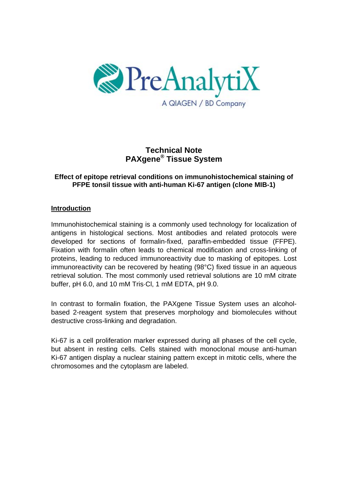

# **Technical Note PAXgene® Tissue System**

## **Effect of epitope retrieval conditions on immunohistochemical staining of PFPE tonsil tissue with anti-human Ki-67 antigen (clone MIB-1)**

### **Introduction**

Immunohistochemical staining is a commonly used technology for localization of antigens in histological sections. Most antibodies and related protocols were developed for sections of formalin-fixed, paraffin-embedded tissue (FFPE). Fixation with formalin often leads to chemical modification and cross-linking of proteins, leading to reduced immunoreactivity due to masking of epitopes. Lost immunoreactivity can be recovered by heating (98°C) fixed tissue in an aqueous retrieval solution. The most commonly used retrieval solutions are 10 mM citrate buffer, pH 6.0, and 10 mM Tris·Cl, 1 mM EDTA, pH 9.0.

In contrast to formalin fixation, the PAXgene Tissue System uses an alcoholbased 2-reagent system that preserves morphology and biomolecules without destructive cross-linking and degradation.

Ki-67 is a cell proliferation marker expressed during all phases of the cell cycle, but absent in resting cells. Cells stained with monoclonal mouse anti-human Ki-67 antigen display a nuclear staining pattern except in mitotic cells, where the chromosomes and the cytoplasm are labeled.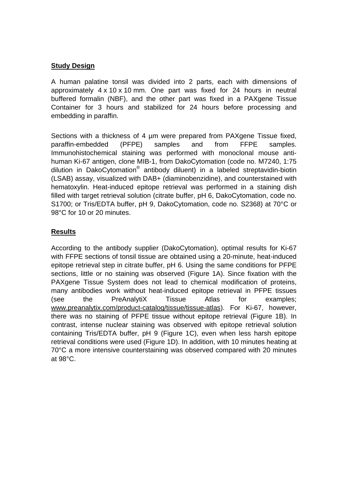### **Study Design**

A human palatine tonsil was divided into 2 parts, each with dimensions of approximately 4 x 10 x 10 mm. One part was fixed for 24 hours in neutral buffered formalin (NBF), and the other part was fixed in a PAXgene Tissue Container for 3 hours and stabilized for 24 hours before processing and embedding in paraffin.

Sections with a thickness of 4 um were prepared from PAXgene Tissue fixed. paraffin-embedded (PFPE) samples and from FFPE samples. Immunohistochemical staining was performed with monoclonal mouse antihuman Ki-67 antigen, clone MIB-1, from DakoCytomation (code no. M7240, 1:75 dilution in DakoCytomation® antibody diluent) in a labeled streptavidin-biotin (LSAB) assay, visualized with DAB+ (diaminobenzidine), and counterstained with hematoxylin. Heat-induced epitope retrieval was performed in a staining dish filled with target retrieval solution (citrate buffer, pH 6, DakoCytomation, code no. S1700; or Tris/EDTA buffer, pH 9, DakoCytomation, code no. S2368) at 70°C or 98°C for 10 or 20 minutes.

#### **Results**

According to the antibody supplier (DakoCytomation), optimal results for Ki-67 with FFPE sections of tonsil tissue are obtained using a 20-minute, heat-induced epitope retrieval step in citrate buffer, pH 6. Using the same conditions for PFPE sections, little or no staining was observed (Figure 1A). Since fixation with the PAXgene Tissue System does not lead to chemical modification of proteins, many antibodies work without heat-induced epitope retrieval in PFPE tissues (see the PreAnalytiX Tissue Atlas for examples; www.preanalytix.com/product-catalog/tissue/tissue-atlas). For Ki-67, however, there was no staining of PFPE tissue without epitope retrieval (Figure 1B). In contrast, intense nuclear staining was observed with epitope retrieval solution containing Tris/EDTA buffer, pH 9 (Figure 1C), even when less harsh epitope retrieval conditions were used (Figure 1D). In addition, with 10 minutes heating at 70°C a more intensive counterstaining was observed compared with 20 minutes at 98°C.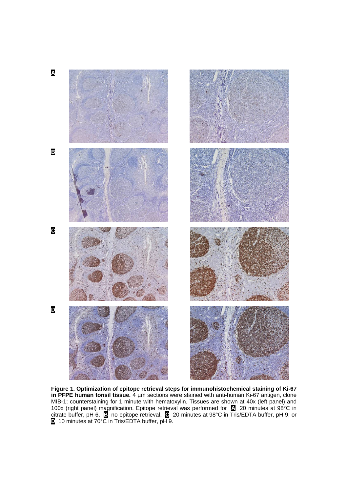

**Figure 1. Optimization of epitope retrieval steps for immunohistochemical staining of Ki-67 in PFPE human tonsil tissue.** 4 µm sections were stained with anti-human Ki-67 antigen, clone MIB-1; counterstaining for 1 minute with hematoxylin. Tissues are shown at 40x (left panel) and 100x (right panel) magnification. Epitope retrieval was performed for **A** 20 minutes at 98°C in citrate buffer, pH 6, **B** no epitope retrieval, **C** 20 minutes at 98°C in Tris/EDTA buffer, pH 9, or **D** 10 minutes at 70°C in Tris/EDTA buffer, pH 9.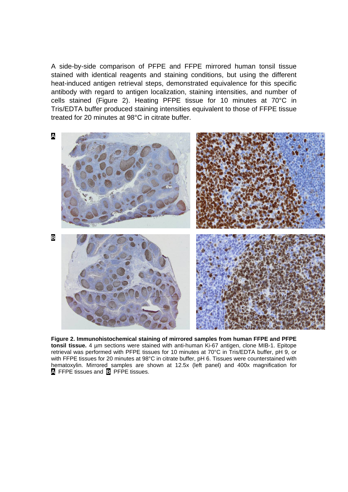A side-by-side comparison of PFPE and FFPE mirrored human tonsil tissue stained with identical reagents and staining conditions, but using the different heat-induced antigen retrieval steps, demonstrated equivalence for this specific antibody with regard to antigen localization, staining intensities, and number of cells stained (Figure 2). Heating PFPE tissue for 10 minutes at 70°C in Tris/EDTA buffer produced staining intensities equivalent to those of FFPE tissue treated for 20 minutes at 98°C in citrate buffer.



**Figure 2. Immunohistochemical staining of mirrored samples from human FFPE and PFPE tonsil tissue.** 4 µm sections were stained with anti-human Ki-67 antigen, clone MIB-1. Epitope retrieval was performed with PFPE tissues for 10 minutes at 70°C in Tris/EDTA buffer, pH 9, or with FFPE tissues for 20 minutes at 98°C in citrate buffer, pH 6. Tissues were counterstained with hematoxylin. Mirrored samples are shown at 12.5x (left panel) and 400x magnification for **A** FFPE tissues and **B** PFPE tissues.